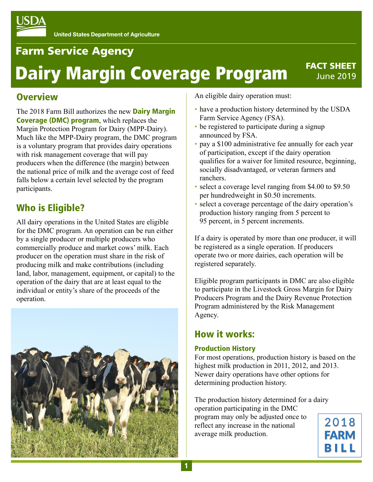# Farm Service Agency

# Dairy Margin Coverage Program

### FACT SHEET June 2019

## **Overview**

[The 2018 Farm Bill authorizes the new](https://www.fsa.usda.gov/programs-and-services/dairy-margin-coverage-program/index) **Dairy Margin** Coverage (DMC) program, which replaces the Margin Protection Program for Dairy (MPP-Dairy). Much like the MPP-Dairy program, the DMC program is a voluntary program that provides dairy operations with risk management coverage that will pay producers when the difference (the margin) between the national price of milk and the average cost of feed falls below a certain level selected by the program participants.

# Who is Eligible?

All dairy operations in the United States are eligible for the DMC program. An operation can be run either by a single producer or multiple producers who commercially produce and market cows' milk. Each producer on the operation must share in the risk of producing milk and make contributions (including land, labor, management, equipment, or capital) to the operation of the dairy that are at least equal to the individual or entity's share of the proceeds of the operation.



An eligible dairy operation must:

- have a production history determined by the USDA Farm Service Agency (FSA).
- be registered to participate during a signup announced by FSA.
- pay a \$100 administrative fee annually for each year of participation, except if the dairy operation qualifies for a waiver for limited resource, beginning, socially disadvantaged, or veteran farmers and ranchers.
- select a coverage level ranging from \$4.00 to \$9.50 per hundredweight in \$0.50 increments.
- select a coverage percentage of the dairy operation's production history ranging from 5 percent to 95 percent, in 5 percent increments.

If a dairy is operated by more than one producer, it will be registered as a single operation. If producers operate two or more dairies, each operation will be registered separately.

Eligible program participants in DMC are also eligible to participate in the Livestock Gross Margin for Dairy Producers Program and the Dairy Revenue Protection Program administered by the Risk Management Agency.

# How it works:

#### Production History

For most operations, production history is based on the highest milk production in 2011, 2012, and 2013. Newer dairy operations have other options for determining production history.

The production history determined for a dairy operation participating in the DMC program may only be adjusted once to reflect any increase in the national average milk production.